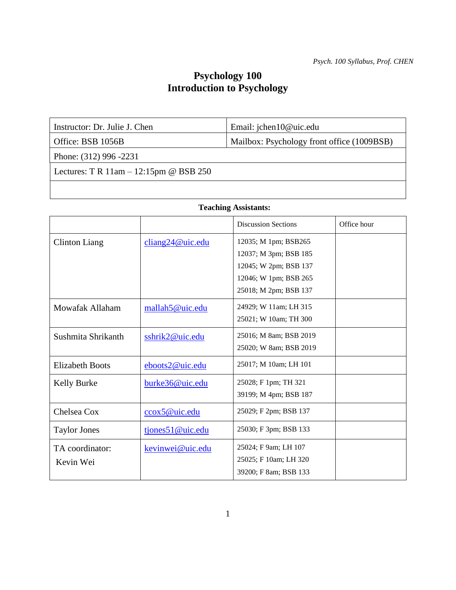# **Psychology 100 Introduction to Psychology**

| Email: jchen $10@$ uic.edu<br>Instructor: Dr. Julie J. Chen |
|-------------------------------------------------------------|
|                                                             |

Office: BSB 1056B Mailbox: Psychology front office (1009BSB)

or

Phone: (312) 996 -2231

Lectures: T R 11am – 12:15pm @ BSB 250

#### **Teaching Assistants:**

|                              |                                     | <b>Discussion Sections</b>                                                                                               | Office hour |
|------------------------------|-------------------------------------|--------------------------------------------------------------------------------------------------------------------------|-------------|
| Clinton Liang                | $\frac{\text{cliang24@uic.edu}}{2}$ | 12035; M 1pm; BSB265<br>12037; M 3pm; BSB 185<br>12045; W 2pm; BSB 137<br>12046; W 1pm; BSB 265<br>25018; M 2pm; BSB 137 |             |
| Mowafak Allaham              | mallah5@uic.edu                     | 24929; W 11am; LH 315<br>25021; W 10am; TH 300                                                                           |             |
| Sushmita Shrikanth           | sshrik2@uic.edu                     | 25016; M 8am; BSB 2019<br>25020; W 8am; BSB 2019                                                                         |             |
| <b>Elizabeth Boots</b>       | eboots2@uic.edu                     | 25017; M 10am; LH 101                                                                                                    |             |
| Kelly Burke                  | burke36@uic.edu                     | 25028; F 1pm; TH 321<br>39199; M 4pm; BSB 187                                                                            |             |
| Chelsea Cox                  | ccox5@uic.edu                       | 25029; F 2pm; BSB 137                                                                                                    |             |
| <b>Taylor Jones</b>          | tjones51@uic.edu                    | 25030; F 3pm; BSB 133                                                                                                    |             |
| TA coordinator:<br>Kevin Wei | kevinwei@uic.edu                    | 25024; F 9am; LH 107<br>25025; F 10am; LH 320<br>39200; F 8am; BSB 133                                                   |             |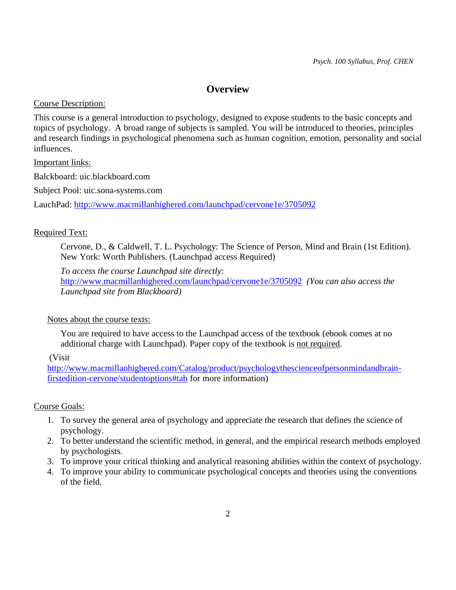# **Overview**

Course Description:

This course is a general introduction to psychology, designed to expose students to the basic concepts and topics of psychology. A broad range of subjects is sampled. You will be introduced to theories, principles and research findings in psychological phenomena such as human cognition, emotion, personality and social influences.

# Important links:

Balckboard: uic.blackboard.com

Subject Pool: uic.sona-systems.com

LauchPad:<http://www.macmillanhighered.com/launchpad/cervone1e/3705092>

# Required Text:

Cervone, D., & Caldwell, T. L. Psychology: The Science of Person, Mind and Brain (1st Edition). New York: Worth Publishers. (Launchpad access Required)

*To access the course Launchpad site directly*: <http://www.macmillanhighered.com/launchpad/cervone1e/3705092> *(You can also access the Launchpad site from Blackboard)*

# Notes about the course texts:

You are required to have access to the Launchpad access of the textbook (ebook comes at no additional charge with Launchpad). Paper copy of the textbook is not required.

(Visit

[http://www.macmillanhighered.com/Catalog/product/psychologythescienceofpersonmindandbrain](http://www.macmillanhighered.com/Catalog/product/psychologythescienceofpersonmindandbrain-firstedition-cervone/studentoptions#tab)[firstedition-cervone/studentoptions#tab](http://www.macmillanhighered.com/Catalog/product/psychologythescienceofpersonmindandbrain-firstedition-cervone/studentoptions#tab) for more information)

# Course Goals:

- 1. To survey the general area of psychology and appreciate the research that defines the science of psychology.
- 2. To better understand the scientific method, in general, and the empirical research methods employed by psychologists.
- 3. To improve your critical thinking and analytical reasoning abilities within the context of psychology.
- 4. To improve your ability to communicate psychological concepts and theories using the conventions of the field.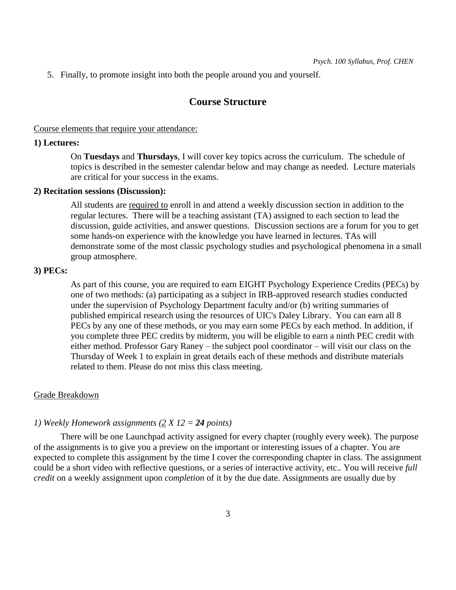5. Finally, to promote insight into both the people around you and yourself.

# **Course Structure**

Course elements that require your attendance:

#### **1) Lectures:**

On **Tuesdays** and **Thursdays**, I will cover key topics across the curriculum. The schedule of topics is described in the semester calendar below and may change as needed. Lecture materials are critical for your success in the exams.

#### **2) Recitation sessions (Discussion):**

All students are required to enroll in and attend a weekly discussion section in addition to the regular lectures. There will be a teaching assistant (TA) assigned to each section to lead the discussion, guide activities, and answer questions. Discussion sections are a forum for you to get some hands-on experience with the knowledge you have learned in lectures. TAs will demonstrate some of the most classic psychology studies and psychological phenomena in a small group atmosphere.

#### **3) PECs:**

As part of this course, you are required to earn EIGHT Psychology Experience Credits (PECs) by one of two methods: (a) participating as a subject in IRB-approved research studies conducted under the supervision of Psychology Department faculty and/or (b) writing summaries of published empirical research using the resources of UIC's Daley Library. You can earn all 8 PECs by any one of these methods, or you may earn some PECs by each method. In addition, if you complete three PEC credits by midterm, you will be eligible to earn a ninth PEC credit with either method. Professor Gary Raney – the subject pool coordinator – will visit our class on the Thursday of Week 1 to explain in great details each of these methods and distribute materials related to them. Please do not miss this class meeting.

#### Grade Breakdown

#### *1) Weekly Homework assignments (2 X 12 = 24 points)*

There will be one Launchpad activity assigned for every chapter (roughly every week). The purpose of the assignments is to give you a preview on the important or interesting issues of a chapter. You are expected to complete this assignment by the time I cover the corresponding chapter in class. The assignment could be a short video with reflective questions, or a series of interactive activity, etc.. You will receive *full credit* on a weekly assignment upon *completion* of it by the due date. Assignments are usually due by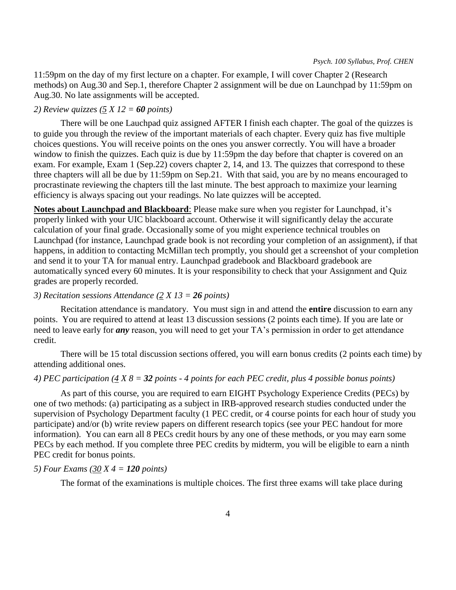11:59pm on the day of my first lecture on a chapter. For example, I will cover Chapter 2 (Research methods) on Aug.30 and Sep.1, therefore Chapter 2 assignment will be due on Launchpad by 11:59pm on Aug.30. No late assignments will be accepted.

# *2) Review quizzes (5 X 12 = 60 points)*

There will be one Lauchpad quiz assigned AFTER I finish each chapter. The goal of the quizzes is to guide you through the review of the important materials of each chapter. Every quiz has five multiple choices questions. You will receive points on the ones you answer correctly. You will have a broader window to finish the quizzes. Each quiz is due by 11:59pm the day before that chapter is covered on an exam. For example, Exam 1 (Sep.22) covers chapter 2, 14, and 13. The quizzes that correspond to these three chapters will all be due by 11:59pm on Sep.21. With that said, you are by no means encouraged to procrastinate reviewing the chapters till the last minute. The best approach to maximize your learning efficiency is always spacing out your readings. No late quizzes will be accepted.

**Notes about Launchpad and Blackboard**: Please make sure when you register for Launchpad, it's properly linked with your UIC blackboard account. Otherwise it will significantly delay the accurate calculation of your final grade. Occasionally some of you might experience technical troubles on Launchpad (for instance, Launchpad grade book is not recording your completion of an assignment), if that happens, in addition to contacting McMillan tech promptly, you should get a screenshot of your completion and send it to your TA for manual entry. Launchpad gradebook and Blackboard gradebook are automatically synced every 60 minutes. It is your responsibility to check that your Assignment and Quiz grades are properly recorded.

#### *3) Recitation sessions Attendance (2 X 13 = 26 points)*

Recitation attendance is mandatory. You must sign in and attend the **entire** discussion to earn any points. You are required to attend at least 13 discussion sessions (2 points each time). If you are late or need to leave early for *any* reason, you will need to get your TA's permission in order to get attendance credit.

There will be 15 total discussion sections offered, you will earn bonus credits (2 points each time) by attending additional ones.

### *4) PEC participation (4 X 8 = 32 points - 4 points for each PEC credit, plus 4 possible bonus points)*

As part of this course, you are required to earn EIGHT Psychology Experience Credits (PECs) by one of two methods: (a) participating as a subject in IRB-approved research studies conducted under the supervision of Psychology Department faculty (1 PEC credit, or 4 course points for each hour of study you participate) and/or (b) write review papers on different research topics (see your PEC handout for more information). You can earn all 8 PECs credit hours by any one of these methods, or you may earn some PECs by each method. If you complete three PEC credits by midterm, you will be eligible to earn a ninth PEC credit for bonus points.

#### *5) Four Exams (30 X 4 = 120 points)*

The format of the examinations is multiple choices. The first three exams will take place during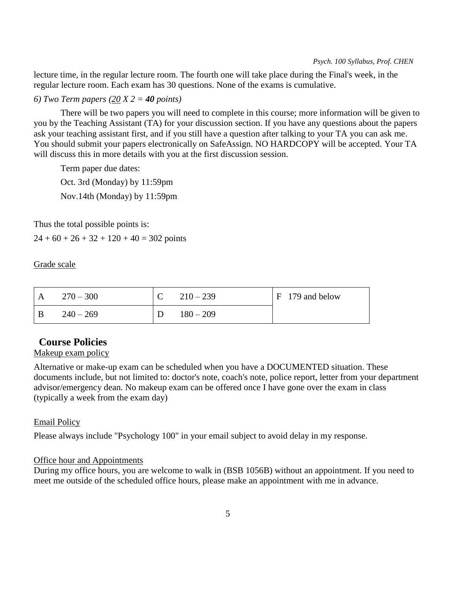lecture time, in the regular lecture room. The fourth one will take place during the Final's week, in the regular lecture room. Each exam has 30 questions. None of the exams is cumulative.

### *6) Two Term papers (20 X 2 = 40 points)*

There will be two papers you will need to complete in this course; more information will be given to you by the Teaching Assistant (TA) for your discussion section. If you have any questions about the papers ask your teaching assistant first, and if you still have a question after talking to your TA you can ask me. You should submit your papers electronically on SafeAssign. NO HARDCOPY will be accepted. Your TA will discuss this in more details with you at the first discussion session.

Term paper due dates:

Oct. 3rd (Monday) by 11:59pm Nov.14th (Monday) by 11:59pm

Thus the total possible points is:

 $24 + 60 + 26 + 32 + 120 + 40 = 302$  points

Grade scale

| A   | $270 - 300$ | $210 - 239$ | $F$ 179 and below |
|-----|-------------|-------------|-------------------|
| - B | $240 - 269$ | $180 - 209$ |                   |

# **Course Policies**

# Makeup exam policy

Alternative or make-up exam can be scheduled when you have a DOCUMENTED situation. These documents include, but not limited to: doctor's note, coach's note, police report, letter from your department advisor/emergency dean. No makeup exam can be offered once I have gone over the exam in class (typically a week from the exam day)

#### Email Policy

Please always include "Psychology 100" in your email subject to avoid delay in my response.

# Office hour and Appointments

During my office hours, you are welcome to walk in (BSB 1056B) without an appointment. If you need to meet me outside of the scheduled office hours, please make an appointment with me in advance.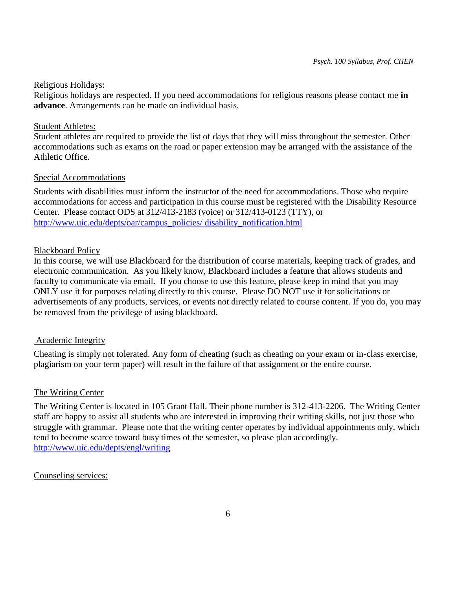### Religious Holidays:

Religious holidays are respected. If you need accommodations for religious reasons please contact me **in advance**. Arrangements can be made on individual basis.

### Student Athletes:

Student athletes are required to provide the list of days that they will miss throughout the semester. Other accommodations such as exams on the road or paper extension may be arranged with the assistance of the Athletic Office.

# Special Accommodations

Students with disabilities must inform the instructor of the need for accommodations. Those who require accommodations for access and participation in this course must be registered with the Disability Resource Center. Please contact ODS at 312/413-2183 (voice) or 312/413-0123 (TTY), or [http://www.uic.edu/depts/oar/campus\\_policies/ disability\\_notification.html](http://www.uic.edu/depts/oar/campus_policies/%20disability_notification.html)

# Blackboard Policy

In this course, we will use Blackboard for the distribution of course materials, keeping track of grades, and electronic communication. As you likely know, Blackboard includes a feature that allows students and faculty to communicate via email. If you choose to use this feature, please keep in mind that you may ONLY use it for purposes relating directly to this course. Please DO NOT use it for solicitations or advertisements of any products, services, or events not directly related to course content. If you do, you may be removed from the privilege of using blackboard.

# Academic Integrity

Cheating is simply not tolerated. Any form of cheating (such as cheating on your exam or in-class exercise, plagiarism on your term paper) will result in the failure of that assignment or the entire course.

### The Writing Center

The Writing Center is located in 105 Grant Hall. Their phone number is 312-413-2206. The Writing Center staff are happy to assist all students who are interested in improving their writing skills, not just those who struggle with grammar. Please note that the writing center operates by individual appointments only, which tend to become scarce toward busy times of the semester, so please plan accordingly. <http://www.uic.edu/depts/engl/writing>

# Counseling services: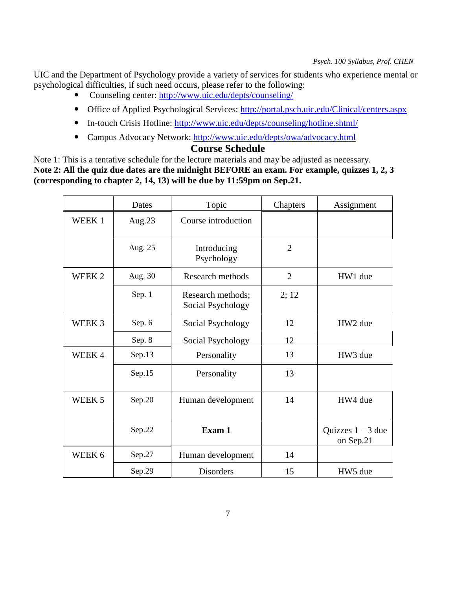UIC and the Department of Psychology provide a variety of services for students who experience mental or psychological difficulties, if such need occurs, please refer to the following:

- Counseling center:<http://www.uic.edu/depts/counseling/>
- Office of Applied Psychological Services:<http://portal.psch.uic.edu/Clinical/centers.aspx>
- In-touch Crisis Hotline:<http://www.uic.edu/depts/counseling/hotline.shtml/>
- Campus Advocacy Network:<http://www.uic.edu/depts/owa/advocacy.html>

# **Course Schedule**

Note 1: This is a tentative schedule for the lecture materials and may be adjusted as necessary. **Note 2: All the quiz due dates are the midnight BEFORE an exam. For example, quizzes 1, 2, 3 (corresponding to chapter 2, 14, 13) will be due by 11:59pm on Sep.21.** 

|                   | Dates     | Topic                                  | Chapters       | Assignment                       |
|-------------------|-----------|----------------------------------------|----------------|----------------------------------|
| WEEK <sub>1</sub> | Aug. $23$ | Course introduction                    |                |                                  |
|                   | Aug. 25   | Introducing<br>Psychology              | $\overline{2}$ |                                  |
| WEEK <sub>2</sub> | Aug. 30   | Research methods                       | $\overline{2}$ | HW1 due                          |
|                   | Sep. 1    | Research methods;<br>Social Psychology | 2; 12          |                                  |
| WEEK <sub>3</sub> | Sep. 6    | Social Psychology                      | 12             | HW2 due                          |
|                   | Sep. 8    | Social Psychology                      | 12             |                                  |
| WEEK4             | Sep.13    | Personality                            | 13             | HW3 due                          |
|                   | Sep.15    | Personality                            | 13             |                                  |
| WEEK <sub>5</sub> | Sep.20    | Human development                      | 14             | HW4 due                          |
|                   | Sep.22    | Exam 1                                 |                | Quizzes $1 - 3$ due<br>on Sep.21 |
| WEEK 6            | Sep.27    | Human development                      | 14             |                                  |
|                   | Sep.29    | <b>Disorders</b>                       | 15             | HW5 due                          |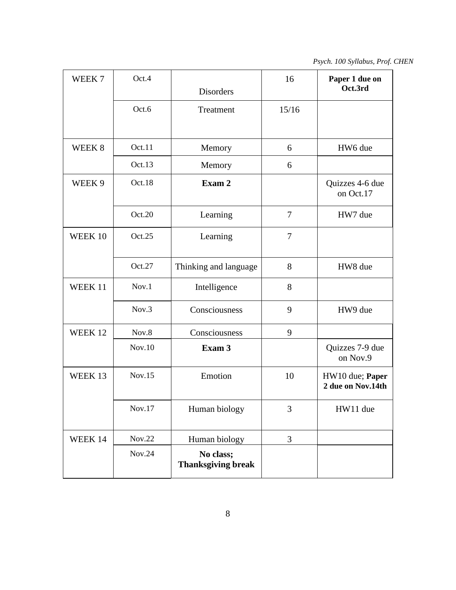*Psych. 100 Syllabus, Prof. CHEN*

| WEEK <sub>7</sub> | Oct.4  | <b>Disorders</b>                       | 16             | Paper 1 due on<br>Oct.3rd            |
|-------------------|--------|----------------------------------------|----------------|--------------------------------------|
|                   | Oct.6  | Treatment                              | 15/16          |                                      |
| WEEK <sub>8</sub> | Oct.11 | Memory                                 | 6              | HW6 due                              |
|                   | Oct.13 | Memory                                 | 6              |                                      |
| WEEK <sub>9</sub> | Oct.18 | Exam 2                                 |                | Quizzes 4-6 due<br>on Oct.17         |
|                   | Oct.20 | Learning                               | $\overline{7}$ | HW7 due                              |
| WEEK 10           | Oct.25 | Learning                               | $\overline{7}$ |                                      |
|                   | Oct.27 | Thinking and language                  | 8              | HW8 due                              |
| WEEK 11           | Nov.1  | Intelligence                           | 8              |                                      |
|                   | Nov.3  | Consciousness                          | 9              | HW9 due                              |
| WEEK 12           | Nov.8  | Consciousness                          | 9              |                                      |
|                   | Nov.10 | Exam 3                                 |                | Quizzes 7-9 due<br>on Nov.9          |
| WEEK 13           | Nov.15 | Emotion                                | 10             | HW10 due; Paper<br>2 due on Nov.14th |
|                   | Nov.17 | Human biology                          | 3              | HW11 due                             |
| WEEK 14           | Nov.22 | Human biology                          | 3              |                                      |
|                   | Nov.24 | No class;<br><b>Thanksgiving break</b> |                |                                      |